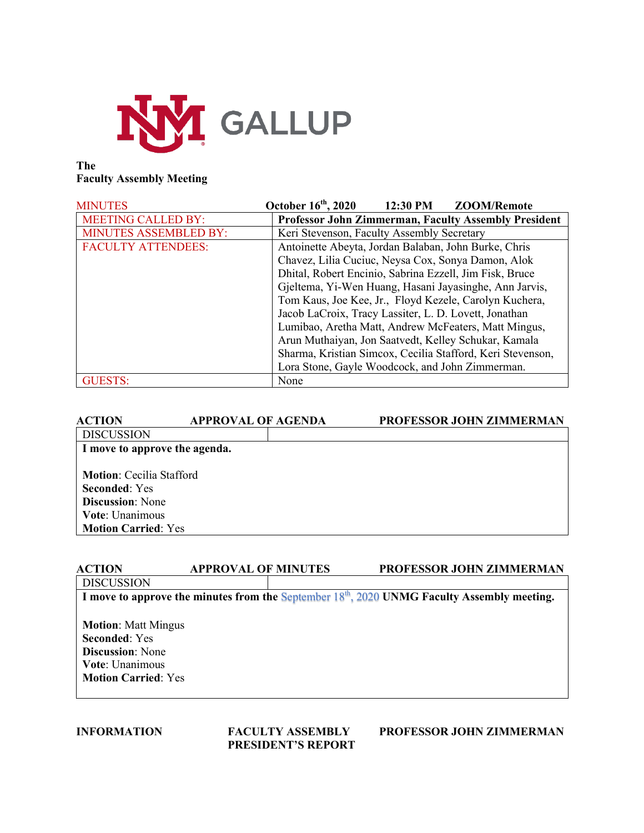

# **The Faculty Assembly Meeting**

| <b>MINUTES</b>               | October 16 <sup>th</sup> , 2020<br>12:30 PM<br>ZOOM/Remote  |  |  |
|------------------------------|-------------------------------------------------------------|--|--|
| <b>MEETING CALLED BY:</b>    | <b>Professor John Zimmerman, Faculty Assembly President</b> |  |  |
| <b>MINUTES ASSEMBLED BY:</b> | Keri Stevenson, Faculty Assembly Secretary                  |  |  |
| <b>FACULTY ATTENDEES:</b>    | Antoinette Abeyta, Jordan Balaban, John Burke, Chris        |  |  |
|                              | Chavez, Lilia Cuciuc, Neysa Cox, Sonya Damon, Alok          |  |  |
|                              | Dhital, Robert Encinio, Sabrina Ezzell, Jim Fisk, Bruce     |  |  |
|                              | Gjeltema, Yi-Wen Huang, Hasani Jayasinghe, Ann Jarvis,      |  |  |
|                              | Tom Kaus, Joe Kee, Jr., Floyd Kezele, Carolyn Kuchera,      |  |  |
|                              | Jacob LaCroix, Tracy Lassiter, L. D. Lovett, Jonathan       |  |  |
|                              | Lumibao, Aretha Matt, Andrew McFeaters, Matt Mingus,        |  |  |
|                              | Arun Muthaiyan, Jon Saatvedt, Kelley Schukar, Kamala        |  |  |
|                              | Sharma, Kristian Simcox, Cecilia Stafford, Keri Stevenson,  |  |  |
|                              | Lora Stone, Gayle Woodcock, and John Zimmerman.             |  |  |
| <b>GUESTS:</b>               | None                                                        |  |  |

| <b>ACTION</b>                                           | <b>APPROVAL OF AGENDA</b> | <b>PROFESSOR JOHN ZIMMERMAN</b> |
|---------------------------------------------------------|---------------------------|---------------------------------|
| <b>DISCUSSION</b>                                       |                           |                                 |
| I move to approve the agenda.                           |                           |                                 |
| <b>Motion:</b> Cecilia Stafford<br><b>Seconded:</b> Yes |                           |                                 |
| <b>Discussion:</b> None                                 |                           |                                 |
| Vote: Unanimous                                         |                           |                                 |
| <b>Motion Carried: Yes</b>                              |                           |                                 |
|                                                         |                           |                                 |

### **ACTION APPROVAL OF MINUTES PROFESSOR JOHN ZIMMERMAN**

**DISCUSSION** 

**I move to approve the minutes from the** September 18th, 2020 **UNMG Faculty Assembly meeting.**

**Motion**: Matt Mingus **Seconded**: Yes **Discussion**: None **Vote**: Unanimous **Motion Carried**: Yes

**PRESIDENT'S REPORT**

**INFORMATION FACULTY ASSEMBLY PROFESSOR JOHN ZIMMERMAN**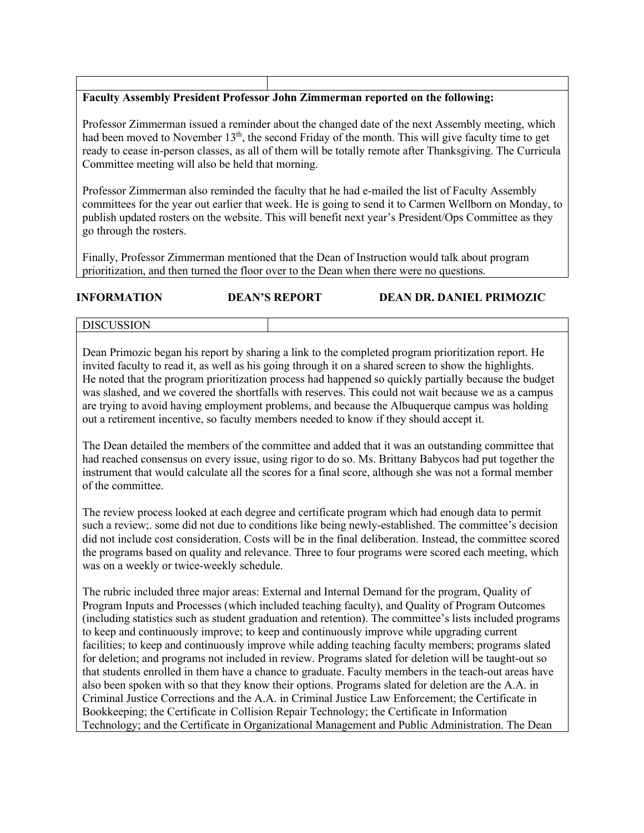# **Faculty Assembly President Professor John Zimmerman reported on the following:**

Professor Zimmerman issued a reminder about the changed date of the next Assembly meeting, which had been moved to November  $13<sup>th</sup>$ , the second Friday of the month. This will give faculty time to get ready to cease in-person classes, as all of them will be totally remote after Thanksgiving. The Curricula Committee meeting will also be held that morning.

Professor Zimmerman also reminded the faculty that he had e-mailed the list of Faculty Assembly committees for the year out earlier that week. He is going to send it to Carmen Wellborn on Monday, to publish updated rosters on the website. This will benefit next year's President/Ops Committee as they go through the rosters.

Finally, Professor Zimmerman mentioned that the Dean of Instruction would talk about program prioritization, and then turned the floor over to the Dean when there were no questions.

| <b>INFORMATION</b> | <b>DEAN'S REPORT</b> | DEAN DR. DANIEL PRIMOZIC |
|--------------------|----------------------|--------------------------|
| l discussion       |                      |                          |

Dean Primozic began his report by sharing a link to the completed program prioritization report. He invited faculty to read it, as well as his going through it on a shared screen to show the highlights. He noted that the program prioritization process had happened so quickly partially because the budget was slashed, and we covered the shortfalls with reserves. This could not wait because we as a campus are trying to avoid having employment problems, and because the Albuquerque campus was holding out a retirement incentive, so faculty members needed to know if they should accept it.

The Dean detailed the members of the committee and added that it was an outstanding committee that had reached consensus on every issue, using rigor to do so. Ms. Brittany Babycos had put together the instrument that would calculate all the scores for a final score, although she was not a formal member of the committee.

The review process looked at each degree and certificate program which had enough data to permit such a review;. some did not due to conditions like being newly-established. The committee's decision did not include cost consideration. Costs will be in the final deliberation. Instead, the committee scored the programs based on quality and relevance. Three to four programs were scored each meeting, which was on a weekly or twice-weekly schedule.

The rubric included three major areas: External and Internal Demand for the program, Quality of Program Inputs and Processes (which included teaching faculty), and Quality of Program Outcomes (including statistics such as student graduation and retention). The committee's lists included programs to keep and continuously improve; to keep and continuously improve while upgrading current facilities; to keep and continuously improve while adding teaching faculty members; programs slated for deletion; and programs not included in review. Programs slated for deletion will be taught-out so that students enrolled in them have a chance to graduate. Faculty members in the teach-out areas have also been spoken with so that they know their options. Programs slated for deletion are the A.A. in Criminal Justice Corrections and the A.A. in Criminal Justice Law Enforcement; the Certificate in Bookkeeping; the Certificate in Collision Repair Technology; the Certificate in Information Technology; and the Certificate in Organizational Management and Public Administration. The Dean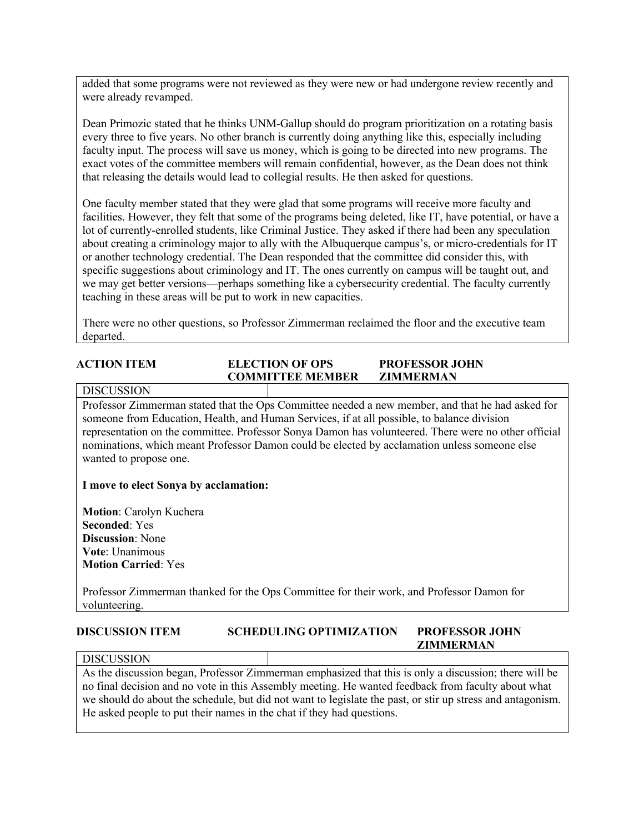added that some programs were not reviewed as they were new or had undergone review recently and were already revamped.

Dean Primozic stated that he thinks UNM-Gallup should do program prioritization on a rotating basis every three to five years. No other branch is currently doing anything like this, especially including faculty input. The process will save us money, which is going to be directed into new programs. The exact votes of the committee members will remain confidential, however, as the Dean does not think that releasing the details would lead to collegial results. He then asked for questions.

One faculty member stated that they were glad that some programs will receive more faculty and facilities. However, they felt that some of the programs being deleted, like IT, have potential, or have a lot of currently-enrolled students, like Criminal Justice. They asked if there had been any speculation about creating a criminology major to ally with the Albuquerque campus's, or micro-credentials for IT or another technology credential. The Dean responded that the committee did consider this, with specific suggestions about criminology and IT. The ones currently on campus will be taught out, and we may get better versions—perhaps something like a cybersecurity credential. The faculty currently teaching in these areas will be put to work in new capacities.

There were no other questions, so Professor Zimmerman reclaimed the floor and the executive team departed.

# **ACTION ITEM ELECTION OF OPS PROFESSOR JOHN COMMITTEE MEMBER ZIMMERMAN**

#### **DISCUSSION**

Professor Zimmerman stated that the Ops Committee needed a new member, and that he had asked for someone from Education, Health, and Human Services, if at all possible, to balance division representation on the committee. Professor Sonya Damon has volunteered. There were no other official nominations, which meant Professor Damon could be elected by acclamation unless someone else wanted to propose one.

### **I move to elect Sonya by acclamation:**

**Motion**: Carolyn Kuchera **Seconded**: Yes **Discussion**: None **Vote**: Unanimous **Motion Carried**: Yes

Professor Zimmerman thanked for the Ops Committee for their work, and Professor Damon for volunteering.

#### **DISCUSSION ITEM SCHEDULING OPTIMIZATION PROFESSOR JOHN ZIMMERMAN**

#### **DISCUSSION**

As the discussion began, Professor Zimmerman emphasized that this is only a discussion; there will be no final decision and no vote in this Assembly meeting. He wanted feedback from faculty about what we should do about the schedule, but did not want to legislate the past, or stir up stress and antagonism. He asked people to put their names in the chat if they had questions.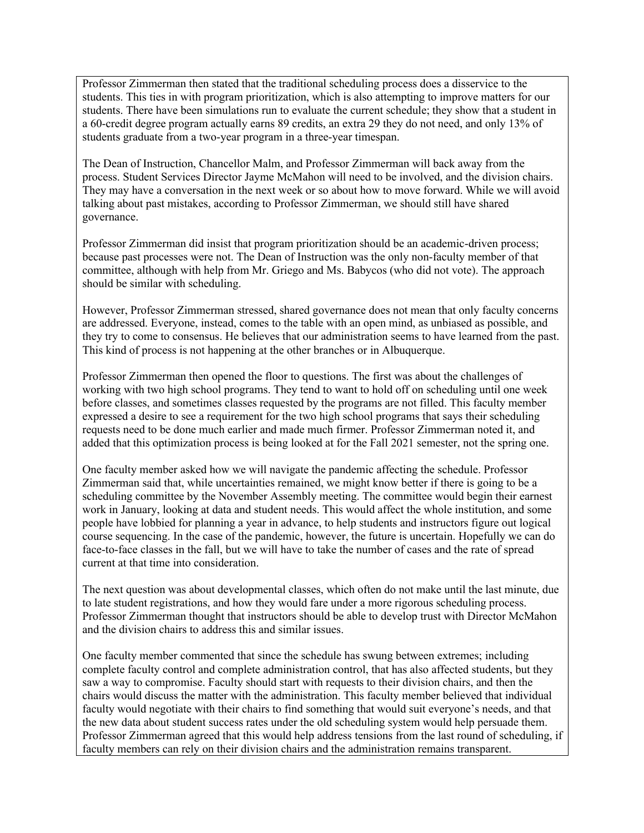Professor Zimmerman then stated that the traditional scheduling process does a disservice to the students. This ties in with program prioritization, which is also attempting to improve matters for our students. There have been simulations run to evaluate the current schedule; they show that a student in a 60-credit degree program actually earns 89 credits, an extra 29 they do not need, and only 13% of students graduate from a two-year program in a three-year timespan.

The Dean of Instruction, Chancellor Malm, and Professor Zimmerman will back away from the process. Student Services Director Jayme McMahon will need to be involved, and the division chairs. They may have a conversation in the next week or so about how to move forward. While we will avoid talking about past mistakes, according to Professor Zimmerman, we should still have shared governance.

Professor Zimmerman did insist that program prioritization should be an academic-driven process; because past processes were not. The Dean of Instruction was the only non-faculty member of that committee, although with help from Mr. Griego and Ms. Babycos (who did not vote). The approach should be similar with scheduling.

However, Professor Zimmerman stressed, shared governance does not mean that only faculty concerns are addressed. Everyone, instead, comes to the table with an open mind, as unbiased as possible, and they try to come to consensus. He believes that our administration seems to have learned from the past. This kind of process is not happening at the other branches or in Albuquerque.

Professor Zimmerman then opened the floor to questions. The first was about the challenges of working with two high school programs. They tend to want to hold off on scheduling until one week before classes, and sometimes classes requested by the programs are not filled. This faculty member expressed a desire to see a requirement for the two high school programs that says their scheduling requests need to be done much earlier and made much firmer. Professor Zimmerman noted it, and added that this optimization process is being looked at for the Fall 2021 semester, not the spring one.

One faculty member asked how we will navigate the pandemic affecting the schedule. Professor Zimmerman said that, while uncertainties remained, we might know better if there is going to be a scheduling committee by the November Assembly meeting. The committee would begin their earnest work in January, looking at data and student needs. This would affect the whole institution, and some people have lobbied for planning a year in advance, to help students and instructors figure out logical course sequencing. In the case of the pandemic, however, the future is uncertain. Hopefully we can do face-to-face classes in the fall, but we will have to take the number of cases and the rate of spread current at that time into consideration.

The next question was about developmental classes, which often do not make until the last minute, due to late student registrations, and how they would fare under a more rigorous scheduling process. Professor Zimmerman thought that instructors should be able to develop trust with Director McMahon and the division chairs to address this and similar issues.

One faculty member commented that since the schedule has swung between extremes; including complete faculty control and complete administration control, that has also affected students, but they saw a way to compromise. Faculty should start with requests to their division chairs, and then the chairs would discuss the matter with the administration. This faculty member believed that individual faculty would negotiate with their chairs to find something that would suit everyone's needs, and that the new data about student success rates under the old scheduling system would help persuade them. Professor Zimmerman agreed that this would help address tensions from the last round of scheduling, if faculty members can rely on their division chairs and the administration remains transparent.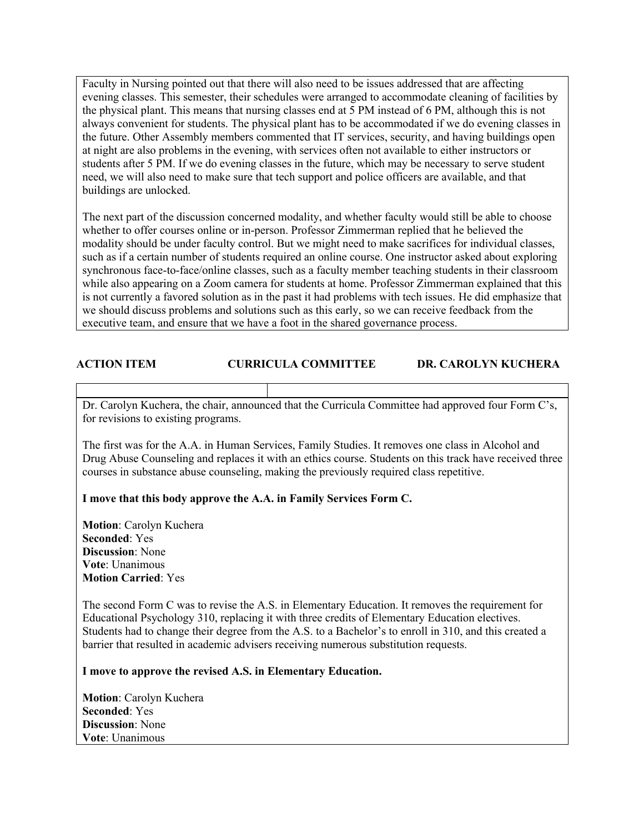Faculty in Nursing pointed out that there will also need to be issues addressed that are affecting evening classes. This semester, their schedules were arranged to accommodate cleaning of facilities by the physical plant. This means that nursing classes end at 5 PM instead of 6 PM, although this is not always convenient for students. The physical plant has to be accommodated if we do evening classes in the future. Other Assembly members commented that IT services, security, and having buildings open at night are also problems in the evening, with services often not available to either instructors or students after 5 PM. If we do evening classes in the future, which may be necessary to serve student need, we will also need to make sure that tech support and police officers are available, and that buildings are unlocked.

The next part of the discussion concerned modality, and whether faculty would still be able to choose whether to offer courses online or in-person. Professor Zimmerman replied that he believed the modality should be under faculty control. But we might need to make sacrifices for individual classes, such as if a certain number of students required an online course. One instructor asked about exploring synchronous face-to-face/online classes, such as a faculty member teaching students in their classroom while also appearing on a Zoom camera for students at home. Professor Zimmerman explained that this is not currently a favored solution as in the past it had problems with tech issues. He did emphasize that we should discuss problems and solutions such as this early, so we can receive feedback from the executive team, and ensure that we have a foot in the shared governance process.

# **ACTION ITEM CURRICULA COMMITTEE DR. CAROLYN KUCHERA**

Dr. Carolyn Kuchera, the chair, announced that the Curricula Committee had approved four Form C's, for revisions to existing programs.

The first was for the A.A. in Human Services, Family Studies. It removes one class in Alcohol and Drug Abuse Counseling and replaces it with an ethics course. Students on this track have received three courses in substance abuse counseling, making the previously required class repetitive.

### **I move that this body approve the A.A. in Family Services Form C.**

**Motion**: Carolyn Kuchera **Seconded**: Yes **Discussion**: None **Vote**: Unanimous **Motion Carried**: Yes

The second Form C was to revise the A.S. in Elementary Education. It removes the requirement for Educational Psychology 310, replacing it with three credits of Elementary Education electives. Students had to change their degree from the A.S. to a Bachelor's to enroll in 310, and this created a barrier that resulted in academic advisers receiving numerous substitution requests.

#### **I move to approve the revised A.S. in Elementary Education.**

**Motion**: Carolyn Kuchera **Seconded**: Yes **Discussion**: None **Vote**: Unanimous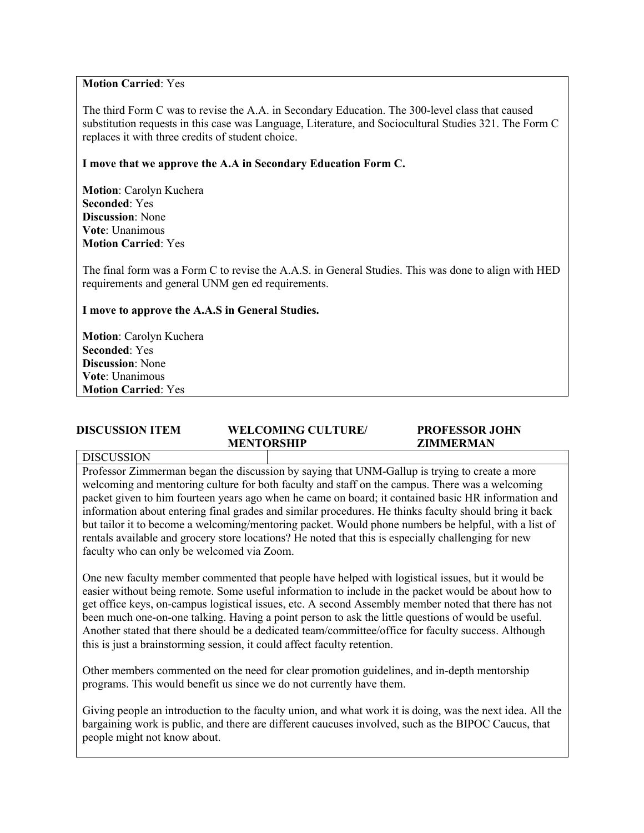### **Motion Carried**: Yes

The third Form C was to revise the A.A. in Secondary Education. The 300-level class that caused substitution requests in this case was Language, Literature, and Sociocultural Studies 321. The Form C replaces it with three credits of student choice.

# **I move that we approve the A.A in Secondary Education Form C.**

**Motion**: Carolyn Kuchera **Seconded**: Yes **Discussion**: None **Vote**: Unanimous **Motion Carried**: Yes

The final form was a Form C to revise the A.A.S. in General Studies. This was done to align with HED requirements and general UNM gen ed requirements.

# **I move to approve the A.A.S in General Studies.**

**Motion**: Carolyn Kuchera **Seconded**: Yes **Discussion**: None **Vote**: Unanimous **Motion Carried**: Yes

# **DISCUSSION ITEM WELCOMING CULTURE/ PROFESSOR JOHN MENTORSHIP ZIMMERMAN**

#### DISCUSSION

Professor Zimmerman began the discussion by saying that UNM-Gallup is trying to create a more welcoming and mentoring culture for both faculty and staff on the campus. There was a welcoming packet given to him fourteen years ago when he came on board; it contained basic HR information and information about entering final grades and similar procedures. He thinks faculty should bring it back but tailor it to become a welcoming/mentoring packet. Would phone numbers be helpful, with a list of rentals available and grocery store locations? He noted that this is especially challenging for new faculty who can only be welcomed via Zoom.

One new faculty member commented that people have helped with logistical issues, but it would be easier without being remote. Some useful information to include in the packet would be about how to get office keys, on-campus logistical issues, etc. A second Assembly member noted that there has not been much one-on-one talking. Having a point person to ask the little questions of would be useful. Another stated that there should be a dedicated team/committee/office for faculty success. Although this is just a brainstorming session, it could affect faculty retention.

Other members commented on the need for clear promotion guidelines, and in-depth mentorship programs. This would benefit us since we do not currently have them.

Giving people an introduction to the faculty union, and what work it is doing, was the next idea. All the bargaining work is public, and there are different caucuses involved, such as the BIPOC Caucus, that people might not know about.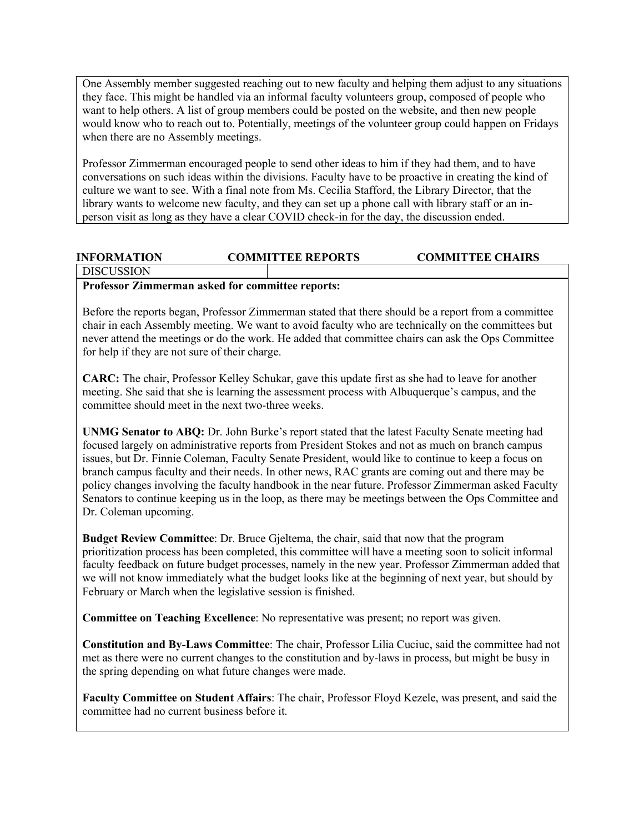One Assembly member suggested reaching out to new faculty and helping them adjust to any situations they face. This might be handled via an informal faculty volunteers group, composed of people who want to help others. A list of group members could be posted on the website, and then new people would know who to reach out to. Potentially, meetings of the volunteer group could happen on Fridays when there are no Assembly meetings.

Professor Zimmerman encouraged people to send other ideas to him if they had them, and to have conversations on such ideas within the divisions. Faculty have to be proactive in creating the kind of culture we want to see. With a final note from Ms. Cecilia Stafford, the Library Director, that the library wants to welcome new faculty, and they can set up a phone call with library staff or an inperson visit as long as they have a clear COVID check-in for the day, the discussion ended.

# **INFORMATION COMMITTEE REPORTS COMMITTEE CHAIRS**

DISCUSSION

# **Professor Zimmerman asked for committee reports:**

Before the reports began, Professor Zimmerman stated that there should be a report from a committee chair in each Assembly meeting. We want to avoid faculty who are technically on the committees but never attend the meetings or do the work. He added that committee chairs can ask the Ops Committee for help if they are not sure of their charge.

**CARC:** The chair, Professor Kelley Schukar, gave this update first as she had to leave for another meeting. She said that she is learning the assessment process with Albuquerque's campus, and the committee should meet in the next two-three weeks.

**UNMG Senator to ABQ:** Dr. John Burke's report stated that the latest Faculty Senate meeting had focused largely on administrative reports from President Stokes and not as much on branch campus issues, but Dr. Finnie Coleman, Faculty Senate President, would like to continue to keep a focus on branch campus faculty and their needs. In other news, RAC grants are coming out and there may be policy changes involving the faculty handbook in the near future. Professor Zimmerman asked Faculty Senators to continue keeping us in the loop, as there may be meetings between the Ops Committee and Dr. Coleman upcoming.

**Budget Review Committee**: Dr. Bruce Gjeltema, the chair, said that now that the program prioritization process has been completed, this committee will have a meeting soon to solicit informal faculty feedback on future budget processes, namely in the new year. Professor Zimmerman added that we will not know immediately what the budget looks like at the beginning of next year, but should by February or March when the legislative session is finished.

**Committee on Teaching Excellence**: No representative was present; no report was given.

**Constitution and By-Laws Committee**: The chair, Professor Lilia Cuciuc, said the committee had not met as there were no current changes to the constitution and by-laws in process, but might be busy in the spring depending on what future changes were made.

**Faculty Committee on Student Affairs**: The chair, Professor Floyd Kezele, was present, and said the committee had no current business before it.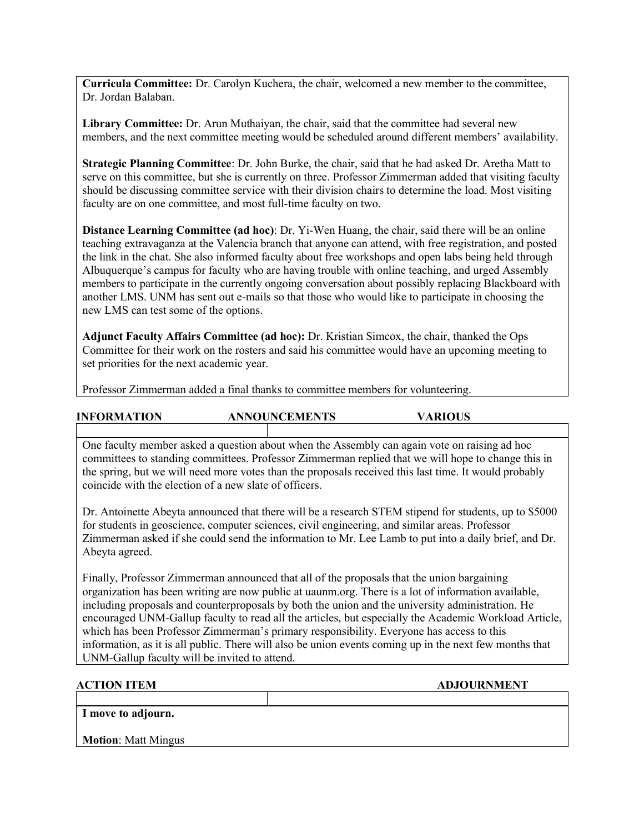**Curricula Committee:** Dr. Carolyn Kuchera, the chair, welcomed a new member to the committee, Dr. Jordan Balaban.

**Library Committee:** Dr. Arun Muthaiyan, the chair, said that the committee had several new members, and the next committee meeting would be scheduled around different members' availability.

**Strategic Planning Committee**: Dr. John Burke, the chair, said that he had asked Dr. Aretha Matt to serve on this committee, but she is currently on three. Professor Zimmerman added that visiting faculty should be discussing committee service with their division chairs to determine the load. Most visiting faculty are on one committee, and most full-time faculty on two.

**Distance Learning Committee (ad hoc)**: Dr. Yi-Wen Huang, the chair, said there will be an online teaching extravaganza at the Valencia branch that anyone can attend, with free registration, and posted the link in the chat. She also informed faculty about free workshops and open labs being held through Albuquerque's campus for faculty who are having trouble with online teaching, and urged Assembly members to participate in the currently ongoing conversation about possibly replacing Blackboard with another LMS. UNM has sent out e-mails so that those who would like to participate in choosing the new LMS can test some of the options.

**Adjunct Faculty Affairs Committee (ad hoc):** Dr. Kristian Simcox, the chair, thanked the Ops Committee for their work on the rosters and said his committee would have an upcoming meeting to set priorities for the next academic year.

Professor Zimmerman added a final thanks to committee members for volunteering.

| <b>INFORMATION</b> | <b>ANNOUNCEMENTS</b> | <b>VARIOUS</b> |
|--------------------|----------------------|----------------|
|                    |                      |                |

One faculty member asked a question about when the Assembly can again vote on raising ad hoc committees to standing committees. Professor Zimmerman replied that we will hope to change this in the spring, but we will need more votes than the proposals received this last time. It would probably coincide with the election of a new slate of officers.

Dr. Antoinette Abeyta announced that there will be a research STEM stipend for students, up to \$5000 for students in geoscience, computer sciences, civil engineering, and similar areas. Professor Zimmerman asked if she could send the information to Mr. Lee Lamb to put into a daily brief, and Dr. Abeyta agreed.

Finally, Professor Zimmerman announced that all of the proposals that the union bargaining organization has been writing are now public at uaunm.org. There is a lot of information available, including proposals and counterproposals by both the union and the university administration. He encouraged UNM-Gallup faculty to read all the articles, but especially the Academic Workload Article, which has been Professor Zimmerman's primary responsibility. Everyone has access to this information, as it is all public. There will also be union events coming up in the next few months that UNM-Gallup faculty will be invited to attend.

**ACTION ITEM ADJOURNMENT** 

**I move to adjourn.**

**Motion**: Matt Mingus